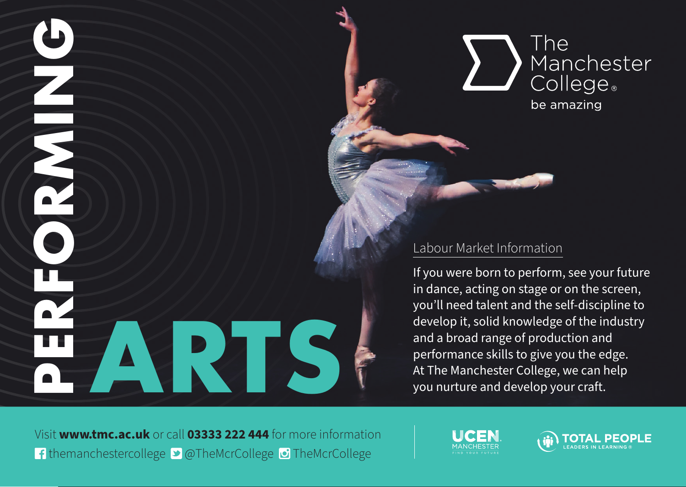



## Labour Market Information

If you were born to perform, see your future in dance, acting on stage or on the screen, you'll need talent and the self-discipline to develop it, solid knowledge of the industry and a broad range of production and performance skills to give you the edge. At The Manchester College, we can help<br>you nurture and develop your craft.

Visit **www.tmc.ac.uk** or call **03333 222 444** for more information f themanchestercollege **D** @TheMcrCollege D TheMcrCollege